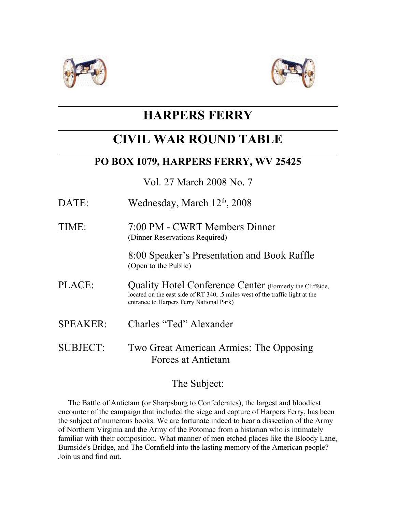



# **HARPERS FERRY**

# **CIVIL WAR ROUND TABLE**

## **PO BOX 1079, HARPERS FERRY, WV 25425**

Vol. 27 March 2008 No. 7

- DATE: Wednesday, March  $12<sup>th</sup>$ , 2008
- TIME: 7:00 PM CWRT Members Dinner (Dinner Reservations Required)

8:00 Speaker's Presentation and Book Raffle (Open to the Public)

- PLACE: Quality Hotel Conference Center (Formerly the Cliffside, located on the east side of RT 340, .5 miles west of the traffic light at the entrance to Harpers Ferry National Park)
- SPEAKER: Charles "Ted" Alexander
- SUBJECT: Two Great American Armies: The Opposing Forces at Antietam

### The Subject:

 The Battle of Antietam (or Sharpsburg to Confederates), the largest and bloodiest encounter of the campaign that included the siege and capture of Harpers Ferry, has been the subject of numerous books. We are fortunate indeed to hear a dissection of the Army of Northern Virginia and the Army of the Potomac from a historian who is intimately familiar with their composition. What manner of men etched places like the Bloody Lane, Burnside's Bridge, and The Cornfield into the lasting memory of the American people? Join us and find out.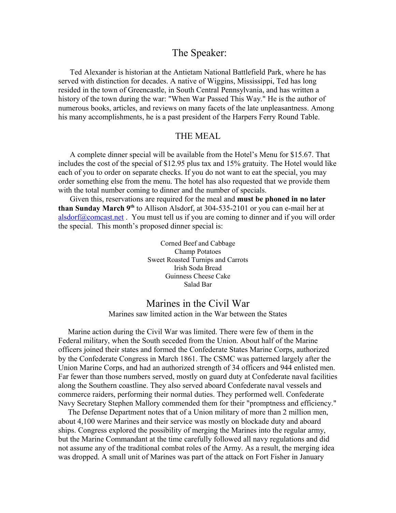#### The Speaker:

 Ted Alexander is historian at the Antietam National Battlefield Park, where he has served with distinction for decades. A native of Wiggins, Mississippi, Ted has long resided in the town of Greencastle, in South Central Pennsylvania, and has written a history of the town during the war: "When War Passed This Way." He is the author of numerous books, articles, and reviews on many facets of the late unpleasantness. Among his many accomplishments, he is a past president of the Harpers Ferry Round Table.

#### THE MEAL

 A complete dinner special will be available from the Hotel's Menu for \$15.67. That includes the cost of the special of \$12.95 plus tax and 15% gratuity. The Hotel would like each of you to order on separate checks. If you do not want to eat the special, you may order something else from the menu. The hotel has also requested that we provide them with the total number coming to dinner and the number of specials.

 Given this, reservations are required for the meal and **must be phoned in no later than Sunday March 9th** to Allison Alsdorf, at 304-535-2101 or you can e-mail her at [alsdorf@comcast.net](mailto:alsdorf@comcast.net) . You must tell us if you are coming to dinner and if you will order the special. This month's proposed dinner special is:

> Corned Beef and Cabbage Champ Potatoes Sweet Roasted Turnips and Carrots Irish Soda Bread Guinness Cheese Cake Salad Bar

#### Marines in the Civil War Marines saw limited action in the War between the States

 Marine action during the Civil War was limited. There were few of them in the Federal military, when the South seceded from the Union. About half of the Marine officers joined their states and formed the Confederate States Marine Corps, authorized by the Confederate Congress in March 1861. The CSMC was patterned largely after the Union Marine Corps, and had an authorized strength of 34 officers and 944 enlisted men. Far fewer than those numbers served, mostly on guard duty at Confederate naval facilities along the Southern coastline. They also served aboard Confederate naval vessels and commerce raiders, performing their normal duties. They performed well. Confederate Navy Secretary Stephen Mallory commended them for their "promptness and efficiency."

 The Defense Department notes that of a Union military of more than 2 million men, about 4,100 were Marines and their service was mostly on blockade duty and aboard ships. Congress explored the possibility of merging the Marines into the regular army, but the Marine Commandant at the time carefully followed all navy regulations and did not assume any of the traditional combat roles of the Army. As a result, the merging idea was dropped. A small unit of Marines was part of the attack on Fort Fisher in January